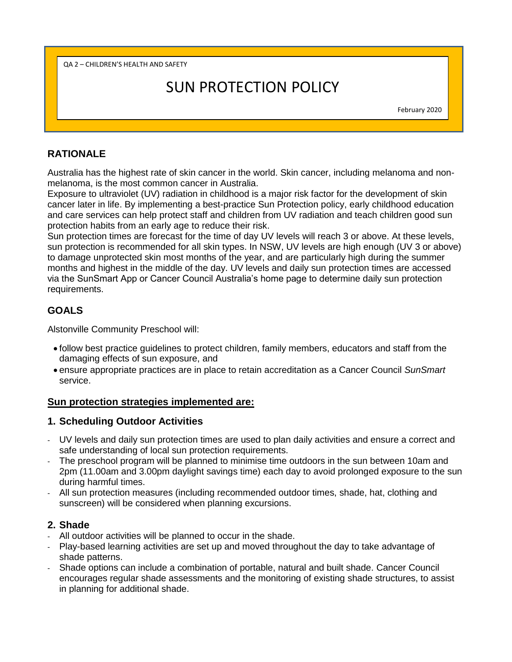QA 2 – CHILDREN'S HEALTH AND SAFETY

# SUN PROTECTION POLICY

February 2020

## **RATIONALE**

Australia has the highest rate of skin cancer in the world. Skin cancer, including melanoma and nonmelanoma, is the most common cancer in Australia.

Exposure to ultraviolet (UV) radiation in childhood is a major risk factor for the development of skin cancer later in life. By implementing a best-practice Sun Protection policy, early childhood education and care services can help protect staff and children from UV radiation and teach children good sun protection habits from an early age to reduce their risk.

Sun protection times are forecast for the time of day UV levels will reach 3 or above. At these levels, sun protection is recommended for all skin types. In NSW, UV levels are high enough (UV 3 or above) to damage unprotected skin most months of the year, and are particularly high during the summer months and highest in the middle of the day. UV levels and daily sun protection times are accessed via the SunSmart App or Cancer Council Australia's home page to determine daily sun protection requirements.

# **GOALS**

Alstonville Community Preschool will:

- follow best practice guidelines to protect children, family members, educators and staff from the damaging effects of sun exposure, and
- ensure appropriate practices are in place to retain accreditation as a Cancer Council *SunSmart* service.

#### **Sun protection strategies implemented are:**

#### **1. Scheduling Outdoor Activities**

- UV levels and daily sun protection times are used to plan daily activities and ensure a correct and safe understanding of local sun protection requirements.
- The preschool program will be planned to minimise time outdoors in the sun between 10am and 2pm (11.00am and 3.00pm daylight savings time) each day to avoid prolonged exposure to the sun during harmful times.
- All sun protection measures (including recommended outdoor times, shade, hat, clothing and sunscreen) will be considered when planning excursions.

#### **2. Shade**

- All outdoor activities will be planned to occur in the shade.
- Play-based learning activities are set up and moved throughout the day to take advantage of shade patterns.
- Shade options can include a combination of portable, natural and built shade. Cancer Council encourages regular shade assessments and the monitoring of existing shade structures, to assist in planning for additional shade.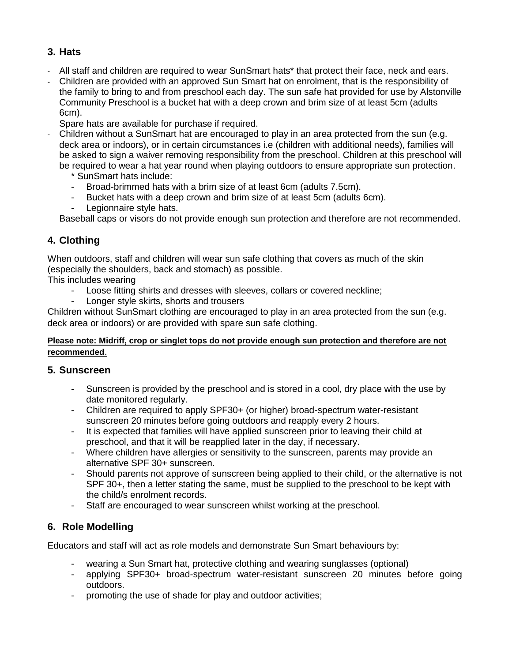# **3. Hats**

- All staff and children are required to wear SunSmart hats\* that protect their face, neck and ears.
- Children are provided with an approved Sun Smart hat on enrolment, that is the responsibility of the family to bring to and from preschool each day. The sun safe hat provided for use by Alstonville Community Preschool is a bucket hat with a deep crown and brim size of at least 5cm (adults 6cm).
- Spare hats are available for purchase if required.
- Children without a SunSmart hat are encouraged to play in an area protected from the sun (e.g. deck area or indoors), or in certain circumstances i.e (children with additional needs), families will be asked to sign a waiver removing responsibility from the preschool. Children at this preschool will be required to wear a hat year round when playing outdoors to ensure appropriate sun protection.
	- \* SunSmart hats include:
	- Broad-brimmed hats with a brim size of at least 6cm (adults 7.5cm).
	- Bucket hats with a deep crown and brim size of at least 5cm (adults 6cm).
	- Legionnaire style hats.

Baseball caps or visors do not provide enough sun protection and therefore are not recommended.

# **4. Clothing**

When outdoors, staff and children will wear sun safe clothing that covers as much of the skin (especially the shoulders, back and stomach) as possible.

This includes wearing

- Loose fitting shirts and dresses with sleeves, collars or covered neckline;
- Longer style skirts, shorts and trousers

Children without SunSmart clothing are encouraged to play in an area protected from the sun (e.g. deck area or indoors) or are provided with spare sun safe clothing.

#### **Please note: Midriff, crop or singlet tops do not provide enough sun protection and therefore are not recommended**.

#### **5. Sunscreen**

- Sunscreen is provided by the preschool and is stored in a cool, dry place with the use by date monitored regularly.
- Children are required to apply SPF30+ (or higher) broad-spectrum water-resistant sunscreen 20 minutes before going outdoors and reapply every 2 hours.
- It is expected that families will have applied sunscreen prior to leaving their child at preschool, and that it will be reapplied later in the day, if necessary.
- Where children have allergies or sensitivity to the sunscreen, parents may provide an alternative SPF 30+ sunscreen.
- Should parents not approve of sunscreen being applied to their child, or the alternative is not SPF 30+, then a letter stating the same, must be supplied to the preschool to be kept with the child/s enrolment records.
- Staff are encouraged to wear sunscreen whilst working at the preschool.

# **6. Role Modelling**

Educators and staff will act as role models and demonstrate Sun Smart behaviours by:

- wearing a Sun Smart hat, protective clothing and wearing sunglasses (optional)
- applying SPF30+ broad-spectrum water-resistant sunscreen 20 minutes before going outdoors.
- promoting the use of shade for play and outdoor activities;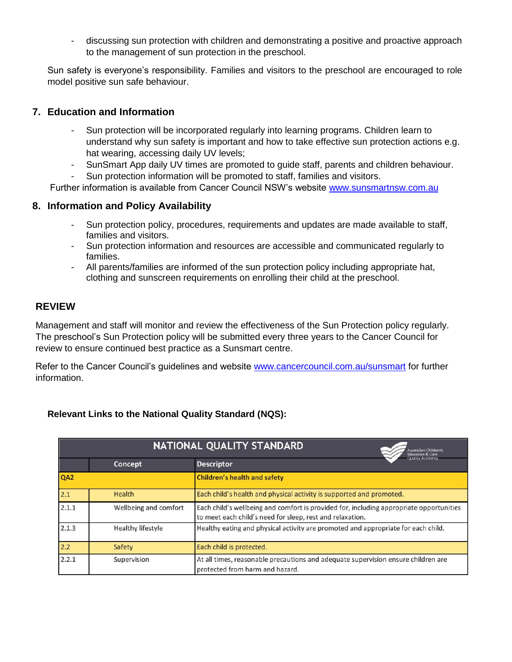- discussing sun protection with children and demonstrating a positive and proactive approach to the management of sun protection in the preschool.

Sun safety is everyone's responsibility. Families and visitors to the preschool are encouraged to role model positive sun safe behaviour.

## **7. Education and Information**

- Sun protection will be incorporated regularly into learning programs. Children learn to understand why sun safety is important and how to take effective sun protection actions e.g. hat wearing, accessing daily UV levels;
- SunSmart App daily UV times are promoted to guide staff, parents and children behaviour.
- Sun protection information will be promoted to staff, families and visitors.

Further information is available from Cancer Council NSW's website [www.sunsmartnsw.com.au](http://www.sunsmartnsw.com.au/)

## **8. Information and Policy Availability**

- Sun protection policy, procedures, requirements and updates are made available to staff, families and visitors.
- Sun protection information and resources are accessible and communicated regularly to families.
- All parents/families are informed of the sun protection policy including appropriate hat, clothing and sunscreen requirements on enrolling their child at the preschool.

## **REVIEW**

Management and staff will monitor and review the effectiveness of the Sun Protection policy regularly. The preschool's Sun Protection policy will be submitted every three years to the Cancer Council for review to ensure continued best practice as a Sunsmart centre.

Refer to the Cancer Council's guidelines and website [www.cancercouncil.com.au/sunsmart](http://www.cancercouncil.com.au/sunsmart) for further information.

#### **Relevant Links to the National Quality Standard (NQS):**

| NATIONAL QUALITY STANDARD<br>Australian Children's<br><b>Education &amp; Core</b> |                       |                                                                                                                                                      |
|-----------------------------------------------------------------------------------|-----------------------|------------------------------------------------------------------------------------------------------------------------------------------------------|
|                                                                                   | Concept               | <b>Opplicy Authority</b><br><b>Descriptor</b>                                                                                                        |
| QA <sub>2</sub>                                                                   |                       | <b>Children's health and safety</b>                                                                                                                  |
| 2.1                                                                               | Health                | Each child's health and physical activity is supported and promoted.                                                                                 |
| 2.1.1                                                                             | Wellbeing and comfort | Each child's wellbeing and comfort is provided for, including appropriate opportunities<br>to meet each child's need for sleep, rest and relaxation. |
| 2.1.3                                                                             | Healthy lifestyle     | Healthy eating and physical activity are promoted and appropriate for each child.                                                                    |
| 2.2                                                                               | Safety                | Each child is protected.                                                                                                                             |
| 2.2.1                                                                             | Supervision           | At all times, reasonable precautions and adequate supervision ensure children are<br>protected from harm and hazard.                                 |